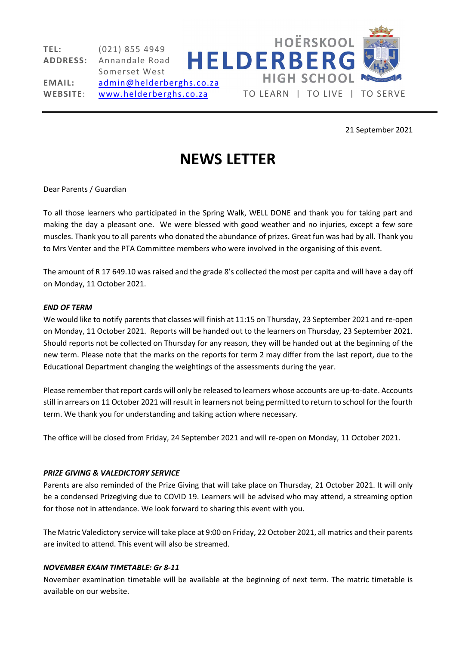

21 September 2021

# NEWS LETTER

## Dear Parents / Guardian

To all those learners who participated in the Spring Walk, WELL DONE and thank you for taking part and making the day a pleasant one. We were blessed with good weather and no injuries, except a few sore muscles. Thank you to all parents who donated the abundance of prizes. Great fun was had by all. Thank you to Mrs Venter and the PTA Committee members who were involved in the organising of this event.

The amount of R 17 649.10 was raised and the grade 8's collected the most per capita and will have a day off on Monday, 11 October 2021.

### END OF TERM

We would like to notify parents that classes will finish at 11:15 on Thursday, 23 September 2021 and re-open on Monday, 11 October 2021. Reports will be handed out to the learners on Thursday, 23 September 2021. Should reports not be collected on Thursday for any reason, they will be handed out at the beginning of the new term. Please note that the marks on the reports for term 2 may differ from the last report, due to the Educational Department changing the weightings of the assessments during the year.

Please remember that report cards will only be released to learners whose accounts are up-to-date. Accounts still in arrears on 11 October 2021 will result in learners not being permitted to return to school for the fourth term. We thank you for understanding and taking action where necessary.

The office will be closed from Friday, 24 September 2021 and will re-open on Monday, 11 October 2021.

## PRIZE GIVING & VALEDICTORY SERVICE

Parents are also reminded of the Prize Giving that will take place on Thursday, 21 October 2021. It will only be a condensed Prizegiving due to COVID 19. Learners will be advised who may attend, a streaming option for those not in attendance. We look forward to sharing this event with you.

The Matric Valedictory service will take place at 9:00 on Friday, 22 October 2021, all matrics and their parents are invited to attend. This event will also be streamed.

### NOVEMBER EXAM TIMETABLE: Gr 8-11

November examination timetable will be available at the beginning of next term. The matric timetable is available on our website.